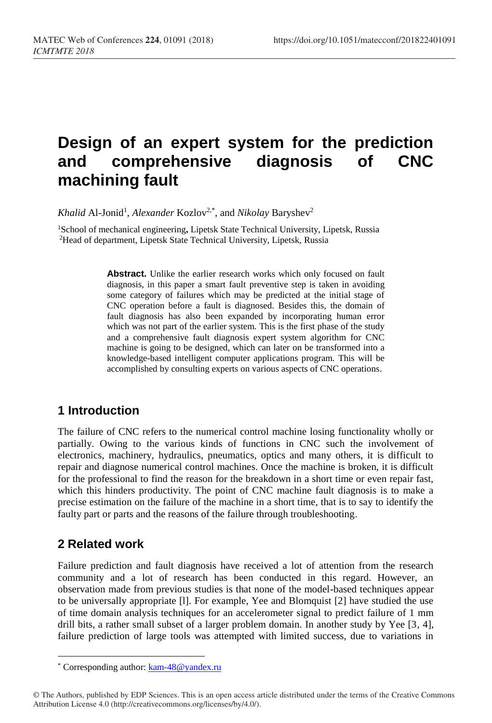# **Design of an expert system for the prediction and comprehensive diagnosis of CNC machining fault**

Khalid Al-Jonid<sup>1</sup>, *Alexander* Kozlov<sup>2,\*</sup>, and *Nikolay* Baryshev<sup>2</sup>

<sup>1</sup>School of mechanical engineering**,** Lipetsk State Technical University, Lipetsk, Russia <sup>2</sup>Head of department, Lipetsk State Technical University, Lipetsk, Russia

> Abstract. Unlike the earlier research works which only focused on fault diagnosis, in this paper a smart fault preventive step is taken in avoiding some category of failures which may be predicted at the initial stage of CNC operation before a fault is diagnosed. Besides this, the domain of fault diagnosis has also been expanded by incorporating human error which was not part of the earlier system. This is the first phase of the study and a comprehensive fault diagnosis expert system algorithm for CNC machine is going to be designed, which can later on be transformed into a knowledge-based intelligent computer applications program. This will be accomplished by consulting experts on various aspects of CNC operations.

# **1 Introduction**

The failure of CNC refers to the numerical control machine losing functionality wholly or partially. Owing to the various kinds of functions in CNC such the involvement of electronics, machinery, hydraulics, pneumatics, optics and many others, it is difficult to repair and diagnose numerical control machines. Once the machine is broken, it is difficult for the professional to find the reason for the breakdown in a short time or even repair fast, which this hinders productivity. The point of CNC machine fault diagnosis is to make a precise estimation on the failure of the machine in a short time, that is to say to identify the faulty part or parts and the reasons of the failure through troubleshooting.

# **2 Related work**

 $\overline{a}$ 

Failure prediction and fault diagnosis have received a lot of attention from the research community and a lot of research has been conducted in this regard. However, an observation made from previous studies is that none of the model-based techniques appear to be universally appropriate [l]. For example, Yee and Blomquist [2] have studied the use of time domain analysis techniques for an accelerometer signal to predict failure of 1 mm drill bits, a rather small subset of a larger problem domain. In another study by Yee [3, 4], failure prediction of large tools was attempted with limited success, due to variations in

<sup>\*</sup> Corresponding author[: kam-48@yandex.ru](file:///C:/Users/ДНС/YandexDisk/ICMTMTE%202018/Matec/kam-48@yandex.ru)

<sup>©</sup> The Authors, published by EDP Sciences. This is an open access article distributed under the terms of the Creative Commons Attribution License 4.0 (http://creativecommons.org/licenses/by/4.0/).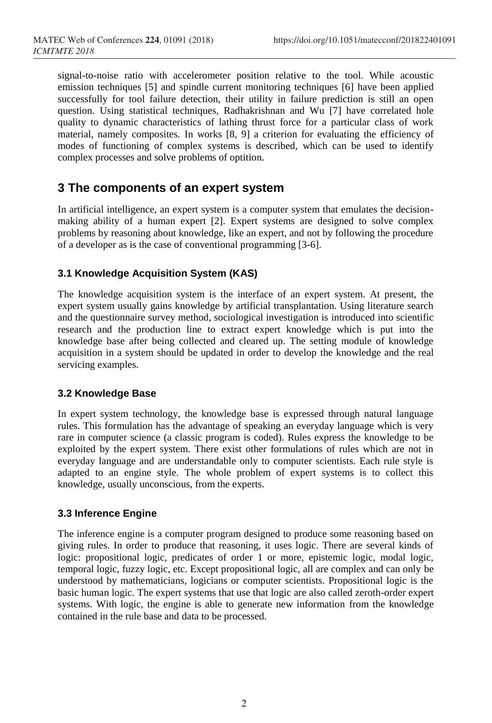signal-to-noise ratio with accelerometer position relative to the tool. While acoustic emission techniques [5] and spindle current monitoring techniques [6] have been applied successfully for tool failure detection, their utility in failure prediction is still an open question. Using statistical techniques, Radhakrishnan and Wu [7] have correlated hole quality to dynamic characteristics of lathing thrust force for a particular class of work material, namely composites. In works [8, 9] a criterion for evaluating the efficiency of modes of functioning of complex systems is described, which can be used to identify complex processes and solve problems of optition.

### **3 The components of an expert system**

In artificial intelligence, an expert system is a computer system that emulates the decisionmaking ability of a human expert [2]. Expert systems are designed to solve complex problems by reasoning about knowledge, like an expert, and not by following the procedure of a developer as is the case of conventional programming [3-6].

#### **3.1 Knowledge Acquisition System (KAS)**

The knowledge acquisition system is the interface of an expert system. At present, the expert system usually gains knowledge by artificial transplantation. Using literature search and the questionnaire survey method, sociological investigation is introduced into scientific research and the production line to extract expert knowledge which is put into the knowledge base after being collected and cleared up. The setting module of knowledge acquisition in a system should be updated in order to develop the knowledge and the real servicing examples.

#### **3.2 Knowledge Base**

In expert system technology, the knowledge base is expressed through natural language rules. This formulation has the advantage of speaking an everyday language which is very rare in computer science (a classic program is coded). Rules express the knowledge to be exploited by the expert system. There exist other formulations of rules which are not in everyday language and are understandable only to computer scientists. Each rule style is adapted to an engine style. The whole problem of expert systems is to collect this knowledge, usually unconscious, from the experts.

#### **3.3 Inference Engine**

The inference engine is a computer program designed to produce some reasoning based on giving rules. In order to produce that reasoning, it uses logic. There are several kinds of logic: propositional logic, predicates of order 1 or more, epistemic logic, modal logic, temporal logic, fuzzy logic, etc. Except propositional logic, all are complex and can only be understood by mathematicians, logicians or computer scientists. Propositional logic is the basic human logic. The expert systems that use that logic are also called zeroth-order expert systems. With logic, the engine is able to generate new information from the knowledge contained in the rule base and data to be processed.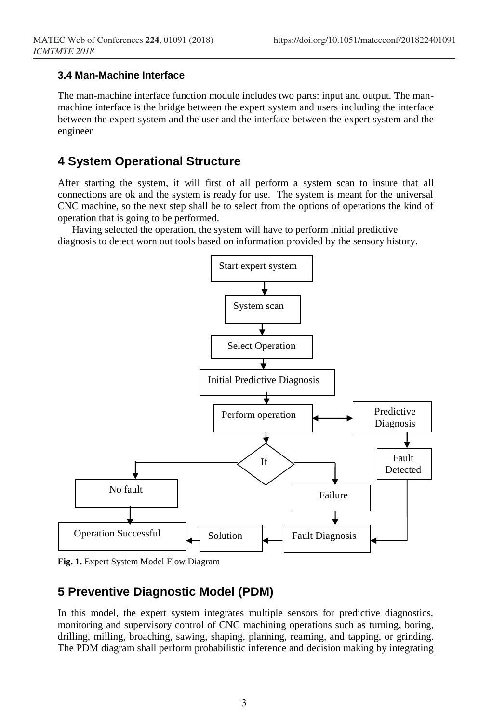#### **3.4 Man-Machine Interface**

The man-machine interface function module includes two parts: input and output. The manmachine interface is the bridge between the expert system and users including the interface between the expert system and the user and the interface between the expert system and the engineer

# **4 System Operational Structure**

After starting the system, it will first of all perform a system scan to insure that all connections are ok and the system is ready for use. The system is meant for the universal CNC machine, so the next step shall be to select from the options of operations the kind of operation that is going to be performed.

Having selected the operation, the system will have to perform initial predictive diagnosis to detect worn out tools based on information provided by the sensory history.



**Fig. 1.** Expert System Model Flow Diagram

# **5 Preventive Diagnostic Model (PDM)**

In this model, the expert system integrates multiple sensors for predictive diagnostics, monitoring and supervisory control of CNC machining operations such as [turning,](http://en.wikipedia.org/wiki/Turning) [boring,](http://en.wikipedia.org/wiki/Boring_%28manufacturing%29) [drilling,](http://en.wikipedia.org/wiki/Drilling) [milling,](http://en.wikipedia.org/wiki/Milling_machine) [broaching,](http://en.wikipedia.org/wiki/Broach_%28metalwork%29) [sawing,](http://en.wikipedia.org/wiki/Sawing) [shaping,](http://en.wikipedia.org/wiki/Shaper) [planning,](http://en.wikipedia.org/wiki/Planer_%28metalworking%29) [reaming,](http://en.wikipedia.org/wiki/Reamer) and [tapping,](http://en.wikipedia.org/wiki/Tap_and_die) or [grinding.](http://en.wikipedia.org/wiki/Grinding_%28abrasive_cutting%29) The PDM diagram shall perform probabilistic inference and decision making by integrating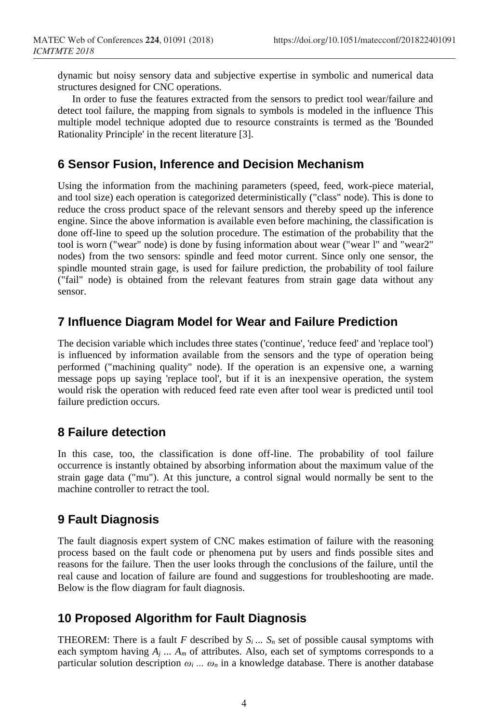dynamic but noisy sensory data and subjective expertise in symbolic and numerical data structures designed for CNC operations.

In order to fuse the features extracted from the sensors to predict tool wear/failure and detect tool failure, the mapping from signals to symbols is modeled in the influence This multiple model technique adopted due to resource constraints is termed as the 'Bounded Rationality Principle' in the recent literature [3].

### **6 Sensor Fusion, Inference and Decision Mechanism**

Using the information from the machining parameters (speed, feed, work-piece material, and tool size) each operation is categorized deterministically ("class" node). This is done to reduce the cross product space of the relevant sensors and thereby speed up the inference engine. Since the above information is available even before machining, the classification is done off-line to speed up the solution procedure. The estimation of the probability that the tool is worn ("wear" node) is done by fusing information about wear ("wear l" and "wear2" nodes) from the two sensors: spindle and feed motor current. Since only one sensor, the spindle mounted strain gage, is used for failure prediction, the probability of tool failure ("fail" node) is obtained from the relevant features from strain gage data without any sensor.

# **7 Influence Diagram Model for Wear and Failure Prediction**

The decision variable which includes three states ('continue', 'reduce feed' and 'replace tool') is influenced by information available from the sensors and the type of operation being performed ("machining quality" node). If the operation is an expensive one, a warning message pops up saying 'replace tool', but if it is an inexpensive operation, the system would risk the operation with reduced feed rate even after tool wear is predicted until tool failure prediction occurs.

# **8 Failure detection**

In this case, too, the classification is done off-line. The probability of tool failure occurrence is instantly obtained by absorbing information about the maximum value of the strain gage data ("mu"). At this juncture, a control signal would normally be sent to the machine controller to retract the tool.

# **9 Fault Diagnosis**

The fault diagnosis expert system of CNC makes estimation of failure with the reasoning process based on the fault code or phenomena put by users and finds possible sites and reasons for the failure. Then the user looks through the conclusions of the failure, until the real cause and location of failure are found and suggestions for troubleshooting are made. Below is the flow diagram for fault diagnosis.

# **10 Proposed Algorithm for Fault Diagnosis**

**THEOREM:** There is a fault *F* described by  $S_i$ ...  $S_n$  set of possible causal symptoms with each symptom having  $A_j$   $\ldots$   $A_m$  of attributes. Also, each set of symptoms corresponds to a particular solution description *ω<sup>i</sup> ... ω<sup>n</sup>* in a knowledge database. There is another database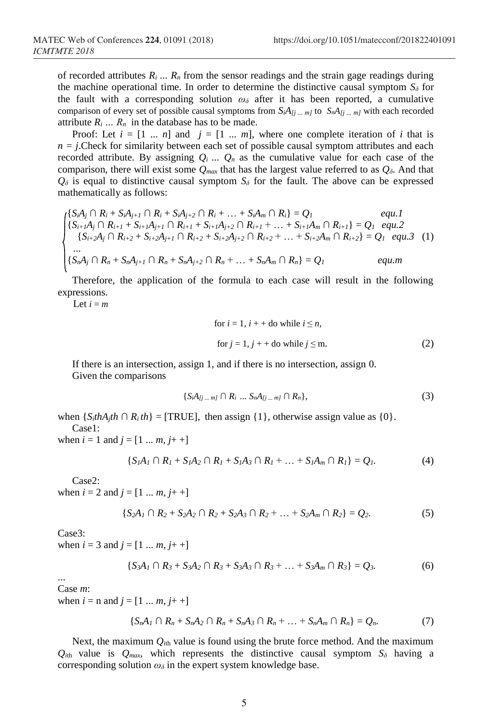of recorded attributes  $R_i$ ...  $R_n$  from the sensor readings and the strain gage readings during the machine operational time. In order to determine the distinctive causal symptom  $S_\delta$  for the fault with a corresponding solution  $\omega_{\delta}$  after it has been reported, a cumulative comparison of every set of possible causal symptoms from  $S_iA_{[j]}$  ...  $m_j$  to  $S_nA_{[j]}$  ...  $m_j$  with each recorded attribute  $R_i$   $\ldots$   $R_n$  in the database has to be made.

Proof: Let  $i = [1 \dots n]$  and  $j = [1 \dots m]$ , where one complete iteration of *i* that is  $n = j$ . Check for similarity between each set of possible causal symptom attributes and each recorded attribute. By assigning  $Q_i$ ...  $Q_n$  as the cumulative value for each case of the comparison, there will exist some  $Q_{max}$  that has the largest value referred to as  $Q_{\delta}$ . And that  $Q$ <sup> $\delta$ </sup> is equal to distinctive causal symptom  $S_{\delta}$  for the fault. The above can be expressed mathematically as follows:

$$
\begin{cases}\n\{S_i A_j \cap R_i + S_i A_{j+1} \cap R_i + S_i A_{j+2} \cap R_i + \dots + S_i A_m \cap R_i\} = Q_1 & equ.1 \\
\{S_{i+1} A_j \cap R_{i+1} + S_{i+1} A_{j+1} \cap R_{i+1} + S_{i+1} A_{j+2} \cap R_{i+1} + \dots + S_{i+1} A_m \cap R_{i+1}\} = Q_1 & equ.2 \\
\{S_{i+2} A_j \cap R_{i+2} + S_{i+2} A_{j+1} \cap R_{i+2} + S_{i+2} A_{j+2} \cap R_{i+2} + \dots + S_{i+2} A_m \cap R_{i+2}\} = Q_1 & equ.3\n\end{cases} (1)
$$
\n
$$
\{S_n A_j \cap R_n + S_n A_{j+1} \cap R_n + S_n A_{j+2} \cap R_n + \dots + S_n A_m \cap R_n\} = Q_1
$$

Therefore, the application of the formula to each case will result in the following expressions.

Let  $i = m$ 

for 
$$
i = 1
$$
,  $i + +$  do while  $i \le n$ ,  
for  $j = 1$ ,  $j + +$  do while  $j \le m$ . (2)

If there is an intersection, assign 1, and if there is no intersection, assign 0. Given the comparisons

$$
\{S_iA_{[j\ldots m]}\cap R_i\ldots S_nA_{[j\ldots m]}\cap R_n\},\tag{3}
$$

when  $\{S_i$ *thA<sub>i</sub>*th  $\cap$  *R<sub>i</sub>* th $\}$  = [TRUE], then assign  $\{1\}$ , otherwise assign value as  $\{0\}$ . Case1:

when  $i = 1$  and  $j = [1 \dots m, j + +]$ 

$$
\{S_I A_I \cap R_I + S_I A_2 \cap R_I + S_I A_3 \cap R_I + \dots + S_I A_m \cap R_I\} = Q_I.
$$
 (4)

Case2:

when  $i = 2$  and  $j = [1 \dots m, j + +]$ 

$$
\{S_2A_1 \cap R_2 + S_2A_2 \cap R_2 + S_2A_3 \cap R_2 + \dots + S_2A_m \cap R_2\} = Q_2.
$$
 (5)

Case3:

when  $i = 3$  and  $j = [1 \dots m, j + +]$ 

$$
\{S_3A_1 \cap R_3 + S_3A_2 \cap R_3 + S_3A_3 \cap R_3 + \dots + S_3A_m \cap R_3\} = Q_3. \tag{6}
$$

... Case *m*:

when  $i = n$  and  $j = [1 ... m, j + +]$ 

$$
\{S_nA_1 \cap R_n + S_nA_2 \cap R_n + S_nA_3 \cap R_n + \dots + S_nA_m \cap R_n\} = Q_n.
$$
 (7)

Next, the maximum  $Q_{<sub>ith</sub>}$  value is found using the brute force method. And the maximum  $Q_{<sub>ith</sub>}$  value is  $Q_{<sub>max</sub>}$ , which represents the distinctive causal symptom  $S_{\delta}$  having a corresponding solution  $\omega_\delta$  in the expert system knowledge base.